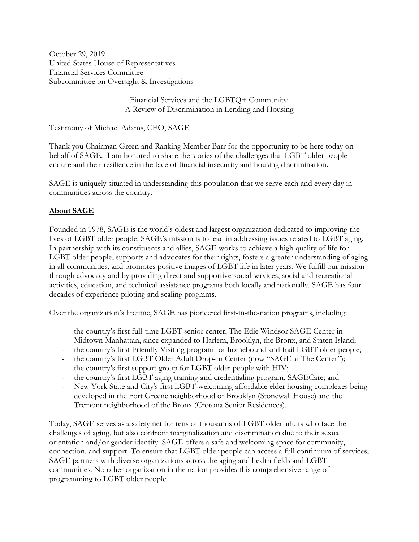October 29, 2019 United States House of Representatives Financial Services Committee Subcommittee on Oversight & Investigations

> Financial Services and the LGBTQ+ Community: A Review of Discrimination in Lending and Housing

Testimony of Michael Adams, CEO, SAGE

Thank you Chairman Green and Ranking Member Barr for the opportunity to be here today on behalf of SAGE. I am honored to share the stories of the challenges that LGBT older people endure and their resilience in the face of financial insecurity and housing discrimination.

SAGE is uniquely situated in understanding this population that we serve each and every day in communities across the country.

# **About SAGE**

Founded in 1978, SAGE is the world's oldest and largest organization dedicated to improving the lives of LGBT older people. SAGE's mission is to lead in addressing issues related to LGBT aging. In partnership with its constituents and allies, SAGE works to achieve a high quality of life for LGBT older people, supports and advocates for their rights, fosters a greater understanding of aging in all communities, and promotes positive images of LGBT life in later years. We fulfill our mission through advocacy and by providing direct and supportive social services, social and recreational activities, education, and technical assistance programs both locally and nationally. SAGE has four decades of experience piloting and scaling programs.

Over the organization's lifetime, SAGE has pioneered first-in-the-nation programs, including:

- the country's first full-time LGBT senior center, The Edie Windsor SAGE Center in Midtown Manhattan, since expanded to Harlem, Brooklyn, the Bronx, and Staten Island;
- the country's first Friendly Visiting program for homebound and frail LGBT older people;
- the country's first LGBT Older Adult Drop-In Center (now "SAGE at The Center");
- the country's first support group for LGBT older people with HIV;
- the country's first LGBT aging training and credentialing program, SAGECare; and
- New York State and City's first LGBT-welcoming affordable elder housing complexes being developed in the Fort Greene neighborhood of Brooklyn (Stonewall House) and the Tremont neighborhood of the Bronx (Crotona Senior Residences).

Today, SAGE serves as a safety net for tens of thousands of LGBT older adults who face the challenges of aging, but also confront marginalization and discrimination due to their sexual orientation and/or gender identity. SAGE offers a safe and welcoming space for community, connection, and support. To ensure that LGBT older people can access a full continuum of services, SAGE partners with diverse organizations across the aging and health fields and LGBT communities. No other organization in the nation provides this comprehensive range of programming to LGBT older people.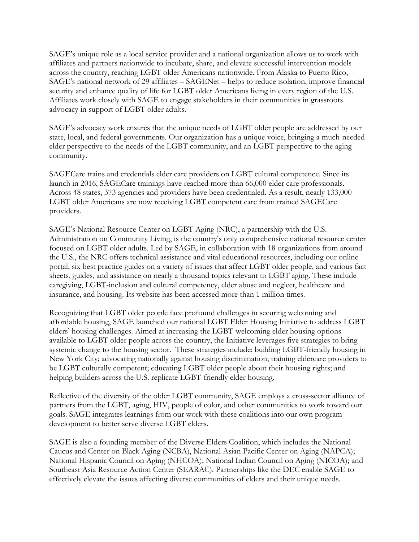SAGE's unique role as a local service provider and a national organization allows us to work with affiliates and partners nationwide to incubate, share, and elevate successful intervention models across the country, reaching LGBT older Americans nationwide. From Alaska to Puerto Rico, SAGE's national network of 29 affiliates – SAGENet – helps to reduce isolation, improve financial security and enhance quality of life for LGBT older Americans living in every region of the U.S. Affiliates work closely with SAGE to engage stakeholders in their communities in grassroots advocacy in support of LGBT older adults.

SAGE's advocacy work ensures that the unique needs of LGBT older people are addressed by our state, local, and federal governments. Our organization has a unique voice, bringing a much-needed elder perspective to the needs of the LGBT community, and an LGBT perspective to the aging community.

SAGECare trains and credentials elder care providers on LGBT cultural competence. Since its launch in 2016, SAGECare trainings have reached more than 66,000 elder care professionals. Across 48 states, 373 agencies and providers have been credentialed. As a result, nearly 133,000 LGBT older Americans are now receiving LGBT competent care from trained SAGECare providers.

SAGE's National Resource Center on LGBT Aging (NRC), a partnership with the U.S. Administration on Community Living, is the country's only comprehensive national resource center focused on LGBT older adults. Led by SAGE, in collaboration with 18 organizations from around the U.S., the NRC offers technical assistance and vital educational resources, including our online portal, six best practice guides on a variety of issues that affect LGBT older people, and various fact sheets, guides, and assistance on nearly a thousand topics relevant to LGBT aging. These include caregiving, LGBT-inclusion and cultural competency, elder abuse and neglect, healthcare and insurance, and housing. Its website has been accessed more than 1 million times.

Recognizing that LGBT older people face profound challenges in securing welcoming and affordable housing, SAGE launched our national LGBT Elder Housing Initiative to address LGBT elders' housing challenges. Aimed at increasing the LGBT-welcoming elder housing options available to LGBT older people across the country, the Initiative leverages five strategies to bring systemic change to the housing sector. These strategies include: building LGBT-friendly housing in New York City; advocating nationally against housing discrimination; training eldercare providers to be LGBT culturally competent; educating LGBT older people about their housing rights; and helping builders across the U.S. replicate LGBT-friendly elder housing.

Reflective of the diversity of the older LGBT community, SAGE employs a cross-sector alliance of partners from the LGBT, aging, HIV, people of color, and other communities to work toward our goals. SAGE integrates learnings from our work with these coalitions into our own program development to better serve diverse LGBT elders.

SAGE is also a founding member of the Diverse Elders Coalition, which includes the National Caucus and Center on Black Aging (NCBA), National Asian Pacific Center on Aging (NAPCA); National Hispanic Council on Aging (NHCOA); National Indian Council on Aging (NICOA); and Southeast Asia Resource Action Center (SEARAC). Partnerships like the DEC enable SAGE to effectively elevate the issues affecting diverse communities of elders and their unique needs.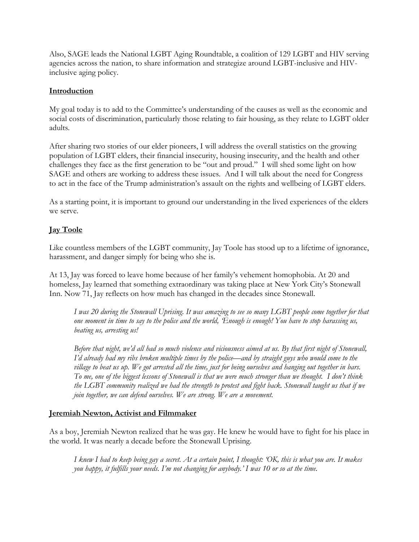Also, SAGE leads the National LGBT Aging Roundtable, a coalition of 129 LGBT and HIV serving agencies across the nation, to share information and strategize around LGBT-inclusive and HIVinclusive aging policy.

## **Introduction**

My goal today is to add to the Committee's understanding of the causes as well as the economic and social costs of discrimination, particularly those relating to fair housing, as they relate to LGBT older adults.

After sharing two stories of our elder pioneers, I will address the overall statistics on the growing population of LGBT elders, their financial insecurity, housing insecurity, and the health and other challenges they face as the first generation to be "out and proud." I will shed some light on how SAGE and others are working to address these issues. And I will talk about the need for Congress to act in the face of the Trump administration's assault on the rights and wellbeing of LGBT elders.

As a starting point, it is important to ground our understanding in the lived experiences of the elders we serve.

# **Jay Toole**

Like countless members of the LGBT community, Jay Toole has stood up to a lifetime of ignorance, harassment, and danger simply for being who she is.

At 13, Jay was forced to leave home because of her family's vehement homophobia. At 20 and homeless, Jay learned that something extraordinary was taking place at New York City's Stonewall Inn. Now 71, Jay reflects on how much has changed in the decades since Stonewall.

*I was 20 during the Stonewall Uprising. It was amazing to see so many LGBT people come together for that one moment in time to say to the police and the world, 'Enough is enough! You have to stop harassing us, beating us, arresting us!*

*Before that night, we'd all had so much violence and viciousness aimed at us. By that first night of Stonewall, I'd already had my ribs broken multiple times by the police—and by straight guys who would come to the village to beat us up. We got arrested all the time, just for being ourselves and hanging out together in bars. To me, one of the biggest lessons of Stonewall is that we were much stronger than we thought. I don't think the LGBT community realized we had the strength to protest and fight back. Stonewall taught us that if we join together, we can defend ourselves. We are strong. We are a movement.* 

#### **Jeremiah Newton, Activist and Filmmaker**

As a boy, Jeremiah Newton realized that he was gay. He knew he would have to fight for his place in the world. It was nearly a decade before the Stonewall Uprising.

*I knew I had to keep being gay a secret. At a certain point, I thought: 'OK, this is what you are. It makes you happy, it fulfills your needs. I'm not changing for anybody.' I was 10 or so at the time.*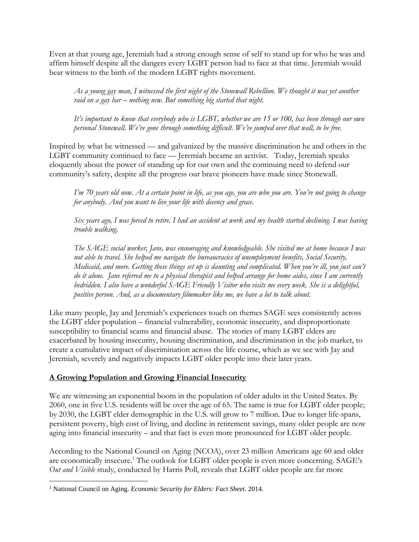Even at that young age, Jeremiah had a strong enough sense of self to stand up for who he was and affirm himself despite all the dangers every LGBT person had to face at that time. Jeremiah would bear witness to the birth of the modern LGBT rights movement.

*As a young gay man, I witnessed the first night of the Stonewall Rebellion. We thought it was yet another raid on a gay bar – nothing new. But something big started that night.* 

*It's important to know that everybody who is LGBT, whether we are 15 or 100, has been through our own personal Stonewall. We've gone through something difficult. We've jumped over that wall, to be free.*

Inspired by what he witnessed — and galvanized by the massive discrimination he and others in the LGBT community continued to face — Jeremiah became an activist. Today, Jeremiah speaks eloquently about the power of standing up for our own and the continuing need to defend our community's safety, despite all the progress our brave pioneers have made since Stonewall.

*I'm 70 years old now. At a certain point in life, as you age, you are who you are. You're not going to change for anybody. And you want to live your life with decency and grace.* 

*Six years ago, I was forced to retire. I had an accident at work and my health started declining. I was having trouble walking.* 

*The SAGE social worker, Jane, was encouraging and knowledgeable. She visited me at home because I was not able to travel. She helped me navigate the bureaucracies of unemployment benefits, Social Security, Medicaid, and more. Getting these things set up is daunting and complicated. When you're ill, you just can't do it alone. Jane referred me to a physical therapist and helped arrange for home aides, since I am currently bedridden. I also have a wonderful SAGE Friendly Visitor who visits me every week. She is a delightful, positive person. And, as a documentary filmmaker like me, we have a lot to talk about.*

Like many people, Jay and Jeremiah's experiences touch on themes SAGE sees consistently across the LGBT elder population – financial vulnerability, economic insecurity, and disproportionate susceptibility to financial scams and financial abuse. The stories of many LGBT elders are exacerbated by housing insecurity, housing discrimination, and discrimination in the job market, to create a cumulative impact of discrimination across the life course, which as we see with Jay and Jeremiah, severely and negatively impacts LGBT older people into their later years.

# **A Growing Population and Growing Financial Insecurity**

We are witnessing an exponential boom in the population of older adults in the United States. By 2060, one in five U.S. residents will be over the age of 65. The same is true for LGBT older people; by 2030, the LGBT elder demographic in the U.S. will grow to 7 million. Due to longer life-spans, persistent poverty, high cost of living, and decline in retirement savings, many older people are now aging into financial insecurity – and that fact is even more pronounced for LGBT older people.

According to the National Council on Aging (NCOA), over 23 million Americans age 60 and older are economically insecure.<sup>1</sup> The outlook for LGBT older people is even more concerning. SAGE's *Out and Visible* study, conducted by Harris Poll, reveals that LGBT older people are far more

 $\overline{\phantom{a}}$ 

<sup>1</sup> National Council on Aging. *Economic Security for Elders: Fact Sheet*. 2014.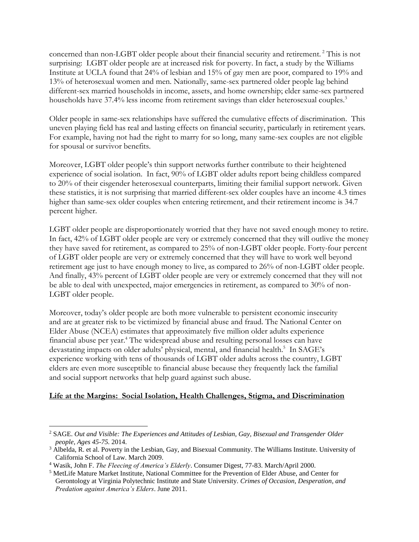concerned than non-LGBT older people about their financial security and retirement.<sup>2</sup> This is not surprising: LGBT older people are at increased risk for poverty. In fact, a study by the Williams Institute at UCLA found that 24% of lesbian and 15% of gay men are poor, compared to 19% and 13% of heterosexual women and men. Nationally, same-sex partnered older people lag behind different-sex married households in income, assets, and home ownership; elder same-sex partnered households have 37.4% less income from retirement savings than elder heterosexual couples.<sup>3</sup>

Older people in same-sex relationships have suffered the cumulative effects of discrimination. This uneven playing field has real and lasting effects on financial security, particularly in retirement years. For example, having not had the right to marry for so long, many same-sex couples are not eligible for spousal or survivor benefits.

Moreover, LGBT older people's thin support networks further contribute to their heightened experience of social isolation. In fact, 90% of LGBT older adults report being childless compared to 20% of their cisgender heterosexual counterparts, limiting their familial support network. Given these statistics, it is not surprising that married different-sex older couples have an income 4.3 times higher than same-sex older couples when entering retirement, and their retirement income is 34.7 percent higher.

LGBT older people are disproportionately worried that they have not saved enough money to retire. In fact, 42% of LGBT older people are very or extremely concerned that they will outlive the money they have saved for retirement, as compared to 25% of non-LGBT older people. Forty-four percent of LGBT older people are very or extremely concerned that they will have to work well beyond retirement age just to have enough money to live, as compared to 26% of non-LGBT older people. And finally, 43% percent of LGBT older people are very or extremely concerned that they will not be able to deal with unexpected, major emergencies in retirement, as compared to 30% of non-LGBT older people.

Moreover, today's older people are both more vulnerable to persistent economic insecurity and are at greater risk to be victimized by financial abuse and fraud. The National Center on Elder Abuse (NCEA) estimates that approximately five million older adults experience financial abuse per year.<sup>4</sup> The widespread abuse and resulting personal losses can have devastating impacts on older adults' physical, mental, and financial health.<sup>5</sup> In SAGE's experience working with tens of thousands of LGBT older adults across the country, LGBT elders are even more susceptible to financial abuse because they frequently lack the familial and social support networks that help guard against such abuse.

#### **Life at the Margins: Social Isolation, Health Challenges, Stigma, and Discrimination**

 $\overline{a}$ 

<sup>2</sup> SAGE. *Out and Visible: The Experiences and Attitudes of Lesbian, Gay, Bisexual and Transgender Older people, Ages 45-75.* 2014.

<sup>&</sup>lt;sup>3</sup> Albelda, R. et al. Poverty in the Lesbian, Gay, and Bisexual Community. The Williams Institute. University of California School of Law. March 2009.

<sup>4</sup> Wasik, John F. *The Fleecing of America's Elderly*. Consumer Digest, 77-83. March/April 2000.

<sup>5</sup> MetLife Mature Market Institute, National Committee for the Prevention of Elder Abuse, and Center for Gerontology at Virginia Polytechnic Institute and State University. *Crimes of Occasion, Desperation, and Predation against America's Elders*. June 2011.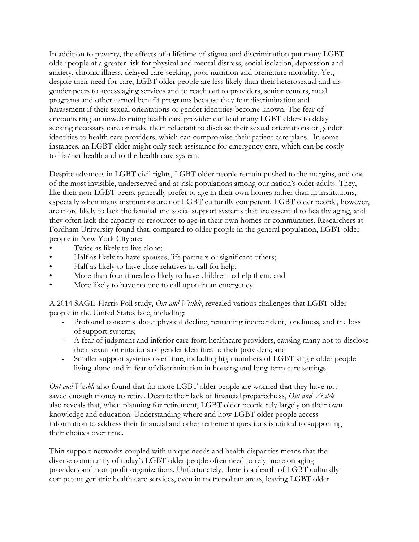In addition to poverty, the effects of a lifetime of stigma and discrimination put many LGBT older people at a greater risk for physical and mental distress, social isolation, depression and anxiety, chronic illness, delayed care-seeking, poor nutrition and premature mortality. Yet, despite their need for care, LGBT older people are less likely than their heterosexual and cisgender peers to access aging services and to reach out to providers, senior centers, meal programs and other earned benefit programs because they fear discrimination and harassment if their sexual orientations or gender identities become known. The fear of encountering an unwelcoming health care provider can lead many LGBT elders to delay seeking necessary care or make them reluctant to disclose their sexual orientations or gender identities to health care providers, which can compromise their patient care plans. In some instances, an LGBT elder might only seek assistance for emergency care, which can be costly to his/her health and to the health care system.

Despite advances in LGBT civil rights, LGBT older people remain pushed to the margins, and one of the most invisible, underserved and at-risk populations among our nation's older adults. They, like their non-LGBT peers, generally prefer to age in their own homes rather than in institutions, especially when many institutions are not LGBT culturally competent. LGBT older people, however, are more likely to lack the familial and social support systems that are essential to healthy aging, and they often lack the capacity or resources to age in their own homes or communities. Researchers at Fordham University found that, compared to older people in the general population, LGBT older people in New York City are:

- Twice as likely to live alone;
- Half as likely to have spouses, life partners or significant others;
- Half as likely to have close relatives to call for help;
- More than four times less likely to have children to help them; and
- More likely to have no one to call upon in an emergency.

A 2014 SAGE-Harris Poll study, *Out and Visible*, revealed various challenges that LGBT older people in the United States face, including:

- Profound concerns about physical decline, remaining independent, loneliness, and the loss of support systems;
- A fear of judgment and inferior care from healthcare providers, causing many not to disclose their sexual orientations or gender identities to their providers; and
- Smaller support systems over time, including high numbers of LGBT single older people living alone and in fear of discrimination in housing and long-term care settings.

*Out and Visible* also found that far more LGBT older people are worried that they have not saved enough money to retire. Despite their lack of financial preparedness, *Out and Visible* also reveals that, when planning for retirement, LGBT older people rely largely on their own knowledge and education. Understanding where and how LGBT older people access information to address their financial and other retirement questions is critical to supporting their choices over time.

Thin support networks coupled with unique needs and health disparities means that the diverse community of today's LGBT older people often need to rely more on aging providers and non-profit organizations. Unfortunately, there is a dearth of LGBT culturally competent geriatric health care services, even in metropolitan areas, leaving LGBT older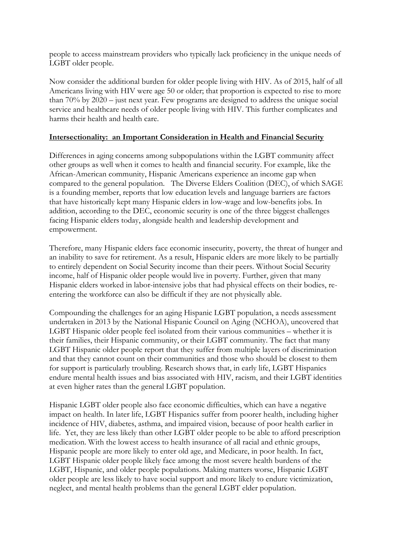people to access mainstream providers who typically lack proficiency in the unique needs of LGBT older people.

Now consider the additional burden for older people living with HIV. As of 2015, half of all Americans living with HIV were age 50 or older; that proportion is expected to rise to more than 70% by 2020 – just next year. Few programs are designed to address the unique social service and healthcare needs of older people living with HIV. This further complicates and harms their health and health care.

#### **Intersectionality: an Important Consideration in Health and Financial Security**

Differences in aging concerns among subpopulations within the LGBT community affect other groups as well when it comes to health and financial security. For example, like the African-American community, Hispanic Americans experience an income gap when compared to the general population. The Diverse Elders Coalition (DEC), of which SAGE is a founding member, reports that low education levels and language barriers are factors that have historically kept many Hispanic elders in low-wage and low-benefits jobs. In addition, according to the DEC, economic security is one of the three biggest challenges facing Hispanic elders today, alongside health and leadership development and empowerment.

Therefore, many Hispanic elders face economic insecurity, poverty, the threat of hunger and an inability to save for retirement. As a result, Hispanic elders are more likely to be partially to entirely dependent on Social Security income than their peers. Without Social Security income, half of Hispanic older people would live in poverty. Further, given that many Hispanic elders worked in labor-intensive jobs that had physical effects on their bodies, reentering the workforce can also be difficult if they are not physically able.

Compounding the challenges for an aging Hispanic LGBT population, a needs assessment undertaken in 2013 by the National Hispanic Council on Aging (NCHOA), uncovered that LGBT Hispanic older people feel isolated from their various communities – whether it is their families, their Hispanic community, or their LGBT community. The fact that many LGBT Hispanic older people report that they suffer from multiple layers of discrimination and that they cannot count on their communities and those who should be closest to them for support is particularly troubling. Research shows that, in early life, LGBT Hispanics endure mental health issues and bias associated with HIV, racism, and their LGBT identities at even higher rates than the general LGBT population.

Hispanic LGBT older people also face economic difficulties, which can have a negative impact on health. In later life, LGBT Hispanics suffer from poorer health, including higher incidence of HIV, diabetes, asthma, and impaired vision, because of poor health earlier in life. Yet, they are less likely than other LGBT older people to be able to afford prescription medication. With the lowest access to health insurance of all racial and ethnic groups, Hispanic people are more likely to enter old age, and Medicare, in poor health. In fact, LGBT Hispanic older people likely face among the most severe health burdens of the LGBT, Hispanic, and older people populations. Making matters worse, Hispanic LGBT older people are less likely to have social support and more likely to endure victimization, neglect, and mental health problems than the general LGBT elder population.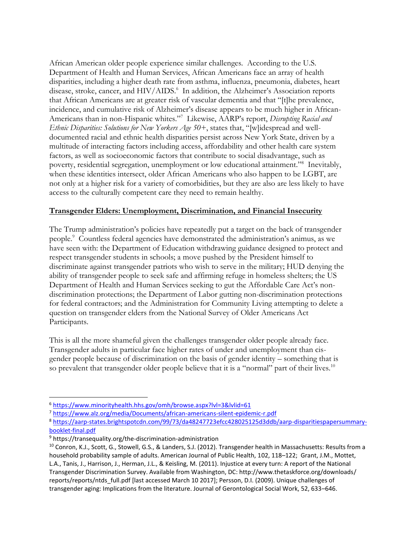African American older people experience similar challenges. According to the U.S. Department of Health and Human Services, African Americans face an array of health disparities, including a higher death rate from asthma, influenza, pneumonia, diabetes, heart disease, stroke, cancer, and HIV/AIDS.<sup>6</sup> In addition, the Alzheimer's Association reports that African Americans are at greater risk of vascular dementia and that "[t]he prevalence, incidence, and cumulative risk of Alzheimer's disease appears to be much higher in African-Americans than in non-Hispanic whites."<sup>7</sup> Likewise, AARP's report, *Disrupting Racial and Ethnic Disparities: Solutions for New Yorkers Age 50+*, states that, "[w]idespread and welldocumented racial and ethnic health disparities persist across New York State, driven by a multitude of interacting factors including access, affordability and other health care system factors, as well as socioeconomic factors that contribute to social disadvantage, such as poverty, residential segregation, unemployment or low educational attainment."<sup>8</sup> Inevitably, when these identities intersect, older African Americans who also happen to be LGBT, are not only at a higher risk for a variety of comorbidities, but they are also are less likely to have access to the culturally competent care they need to remain healthy.

## **Transgender Elders: Unemployment, Discrimination, and Financial Insecurity**

The Trump administration's policies have repeatedly put a target on the back of transgender people.<sup>9</sup> Countless federal agencies have demonstrated the administration's animus, as we have seen with: the Department of Education withdrawing guidance designed to protect and respect transgender students in schools; a move pushed by the President himself to discriminate against transgender patriots who wish to serve in the military; HUD denying the ability of transgender people to seek safe and affirming refuge in homeless shelters; the US Department of Health and Human Services seeking to gut the Affordable Care Act's nondiscrimination protections; the Department of Labor gutting non-discrimination protections for federal contractors; and the Administration for Community Living attempting to delete a question on transgender elders from the National Survey of Older Americans Act Participants.

This is all the more shameful given the challenges transgender older people already face. Transgender adults in particular face higher rates of under and unemployment than cisgender people because of discrimination on the basis of gender identity – something that is so prevalent that transgender older people believe that it is a "normal" part of their lives.<sup>10</sup>

 $\overline{\phantom{a}}$ 

<sup>6</sup> <https://www.minorityhealth.hhs.gov/omh/browse.aspx?lvl=3&lvlid=61>

<sup>7</sup> <https://www.alz.org/media/Documents/african-americans-silent-epidemic-r.pdf>

<sup>8</sup> [https://aarp-states.brightspotcdn.com/99/73/da48247723efcc428025125d3ddb/aarp-disparitiespapersummary](https://aarp-states.brightspotcdn.com/99/73/da48247723efcc428025125d3ddb/aarp-disparitiespapersummary-booklet-final.pdf)[booklet-final.pdf](https://aarp-states.brightspotcdn.com/99/73/da48247723efcc428025125d3ddb/aarp-disparitiespapersummary-booklet-final.pdf)

<sup>9</sup> https://transequality.org/the-discrimination-administration

<sup>&</sup>lt;sup>10</sup> Conron, K.J., Scott, G., Stowell, G.S., & Landers, S.J. (2012). Transgender health in Massachusetts: Results from a household probability sample of adults. American Journal of Public Health, 102, 118–122; Grant, J.M., Mottet, L.A., Tanis, J., Harrison, J., Herman, J.L., & Keisling, M. (2011). Injustice at every turn: A report of the National Transgender Discrimination Survey. Available from Washington, DC: http://www.thetaskforce.org/downloads/ reports/reports/ntds full.pdf [last accessed March 10 2017]; Persson, D.I. (2009). Unique challenges of transgender aging: Implications from the literature. Journal of Gerontological Social Work, 52, 633–646.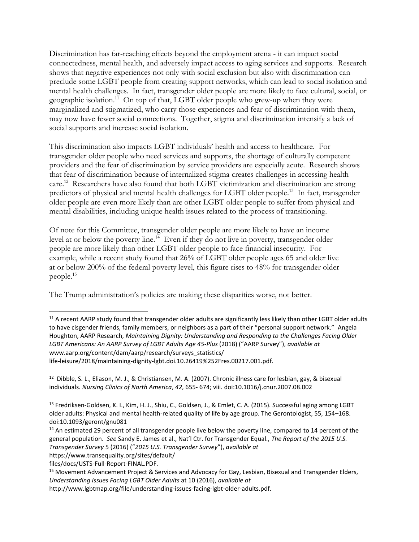Discrimination has far-reaching effects beyond the employment arena - it can impact social connectedness, mental health, and adversely impact access to aging services and supports. Research shows that negative experiences not only with social exclusion but also with discrimination can preclude some LGBT people from creating support networks, which can lead to social isolation and mental health challenges. In fact, transgender older people are more likely to face cultural, social, or geographic isolation.<sup>11</sup> On top of that, LGBT older people who grew-up when they were marginalized and stigmatized, who carry those experiences and fear of discrimination with them, may now have fewer social connections. Together, stigma and discrimination intensify a lack of social supports and increase social isolation.

This discrimination also impacts LGBT individuals' health and access to healthcare. For transgender older people who need services and supports, the shortage of culturally competent providers and the fear of discrimination by service providers are especially acute. Research shows that fear of discrimination because of internalized stigma creates challenges in accessing health care.<sup>12</sup> Researchers have also found that both LGBT victimization and discrimination are strong predictors of physical and mental health challenges for LGBT older people.<sup>13</sup> In fact, transgender older people are even more likely than are other LGBT older people to suffer from physical and mental disabilities, including unique health issues related to the process of transitioning.

Of note for this Committee, transgender older people are more likely to have an income level at or below the poverty line.<sup>14</sup> Even if they do not live in poverty, transgender older people are more likely than other LGBT older people to face financial insecurity. For example, while a recent study found that 26% of LGBT older people ages 65 and older live at or below 200% of the federal poverty level, this figure rises to 48% for transgender older people. 15

The Trump administration's policies are making these disparities worse, not better.

life-leisure/2018/maintaining-dignity-lgbt.doi.10.26419%252Fres.00217.001.pdf.

l

 $11$  A recent AARP study found that transgender older adults are significantly less likely than other LGBT older adults to have cisgender friends, family members, or neighbors as a part of their "personal support network." Angela Houghton, AARP Research, *Maintaining Dignity: Understanding and Responding to the Challenges Facing Older LGBT Americans: An AARP Survey of LGBT Adults Age 45-Plus* (2018) ("AARP Survey"), *available at*  www.aarp.org/content/dam/aarp/research/surveys\_statistics/

<sup>&</sup>lt;sup>12</sup> Dibble, S. L., Eliason, M. J., & Christiansen, M. A. (2007). Chronic illness care for lesbian, gay, & bisexual individuals. *Nursing Clinics of North America*, *42*, 655- 674; viii. doi:10.1016/j.cnur.2007.08.002

<sup>&</sup>lt;sup>13</sup> Fredriksen-Goldsen, K. I., Kim, H. J., Shiu, C., Goldsen, J., & Emlet, C. A. (2015). Successful aging among LGBT older adults: Physical and mental health-related quality of life by age group. The Gerontologist, 55, 154–168. doi:10.1093/geront/gnu081

<sup>&</sup>lt;sup>14</sup> An estimated 29 percent of all transgender people live below the poverty line, compared to 14 percent of the general population. *See* Sandy E. James et al., Nat'l Ctr. for Transgender Equal., *The Report of the 2015 U.S. Transgender Survey* 5 (2016) ("*2015 U.S. Transgender Survey*"), *available at*

https://www.transequality.org/sites/default/

files/docs/USTS-Full-Report-FINAL.PDF.

<sup>&</sup>lt;sup>15</sup> Movement Advancement Project & Services and Advocacy for Gay, Lesbian, Bisexual and Transgender Elders, *Understanding Issues Facing LGBT Older Adults* at 10 (2016), *available at* 

http://www.lgbtmap.org/file/understanding-issues-facing-lgbt-older-adults.pdf.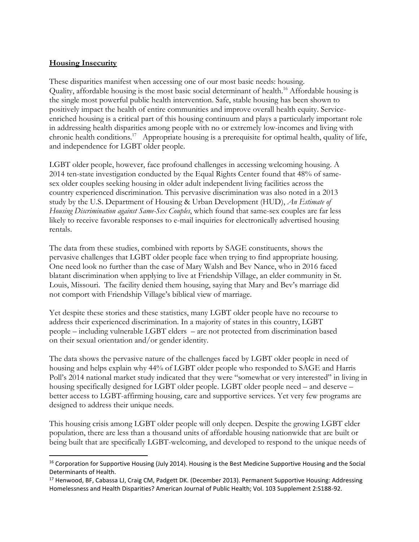## **Housing Insecurity**

l

These disparities manifest when accessing one of our most basic needs: housing. Quality, affordable housing is the most basic social determinant of health.<sup>16</sup> Affordable housing is the single most powerful public health intervention. Safe, stable housing has been shown to positively impact the health of entire communities and improve overall health equity. Serviceenriched housing is a critical part of this housing continuum and plays a particularly important role in addressing health disparities among people with no or extremely low-incomes and living with chronic health conditions.<sup>17</sup> Appropriate housing is a prerequisite for optimal health, quality of life, and independence for LGBT older people.

LGBT older people, however, face profound challenges in accessing welcoming housing. A 2014 ten-state investigation conducted by the Equal Rights Center found that 48% of samesex older couples seeking housing in older adult independent living facilities across the country experienced discrimination. This pervasive discrimination was also noted in a 2013 study by the U.S. Department of Housing & Urban Development (HUD), *An Estimate of Housing Discrimination against Same-Sex Couples*, which found that same-sex couples are far less likely to receive favorable responses to e-mail inquiries for electronically advertised housing rentals.

The data from these studies, combined with reports by SAGE constituents, shows the pervasive challenges that LGBT older people face when trying to find appropriate housing. One need look no further than the case of Mary Walsh and Bev Nance, who in 2016 faced blatant discrimination when applying to live at Friendship Village, an elder community in St. Louis, Missouri. The facility denied them housing, saying that Mary and Bev's marriage did not comport with Friendship Village's biblical view of marriage.

Yet despite these stories and these statistics, many LGBT older people have no recourse to address their experienced discrimination. In a majority of states in this country, LGBT people – including vulnerable LGBT elders – are not protected from discrimination based on their sexual orientation and/or gender identity.

The data shows the pervasive nature of the challenges faced by LGBT older people in need of housing and helps explain why 44% of LGBT older people who responded to SAGE and Harris Poll's 2014 national market study indicated that they were "somewhat or very interested" in living in housing specifically designed for LGBT older people. LGBT older people need – and deserve – better access to LGBT-affirming housing, care and supportive services. Yet very few programs are designed to address their unique needs.

This housing crisis among LGBT older people will only deepen. Despite the growing LGBT elder population, there are less than a thousand units of affordable housing nationwide that are built or being built that are specifically LGBT-welcoming, and developed to respond to the unique needs of

<sup>&</sup>lt;sup>16</sup> Corporation for Supportive Housing (July 2014). Housing is the Best Medicine Supportive Housing and the Social Determinants of Health.

<sup>&</sup>lt;sup>17</sup> Henwood, BF, Cabassa LJ, Craig CM, Padgett DK. (December 2013). Permanent Supportive Housing: Addressing Homelessness and Health Disparities? American Journal of Public Health; Vol. 103 Supplement 2:S188-92.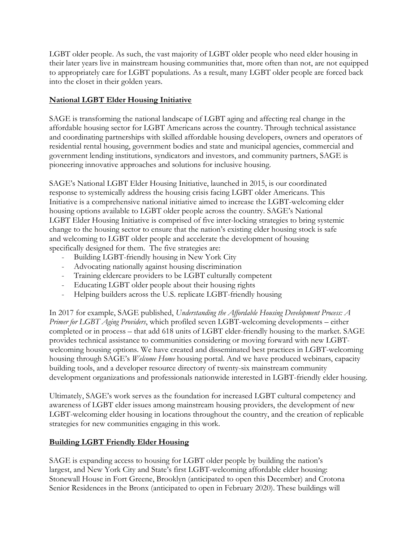LGBT older people. As such, the vast majority of LGBT older people who need elder housing in their later years live in mainstream housing communities that, more often than not, are not equipped to appropriately care for LGBT populations. As a result, many LGBT older people are forced back into the closet in their golden years.

# **National LGBT Elder Housing Initiative**

SAGE is transforming the national landscape of LGBT aging and affecting real change in the affordable housing sector for LGBT Americans across the country. Through technical assistance and coordinating partnerships with skilled affordable housing developers, owners and operators of residential rental housing, government bodies and state and municipal agencies, commercial and government lending institutions, syndicators and investors, and community partners, SAGE is pioneering innovative approaches and solutions for inclusive housing.

SAGE's National LGBT Elder Housing Initiative, launched in 2015, is our coordinated response to systemically address the housing crisis facing LGBT older Americans. This Initiative is a comprehensive national initiative aimed to increase the LGBT-welcoming elder housing options available to LGBT older people across the country. SAGE's National LGBT Elder Housing Initiative is comprised of five inter-locking strategies to bring systemic change to the housing sector to ensure that the nation's existing elder housing stock is safe and welcoming to LGBT older people and accelerate the development of housing specifically designed for them. The five strategies are:

- Building LGBT-friendly housing in New York City
- Advocating nationally against housing discrimination
- Training eldercare providers to be LGBT culturally competent
- Educating LGBT older people about their housing rights
- Helping builders across the U.S. replicate LGBT-friendly housing

In 2017 for example, SAGE published, *Understanding the Affordable Housing Development Process: A Primer for LGBT Aging Providers*, which profiled seven LGBT-welcoming developments – either completed or in process – that add 618 units of LGBT elder-friendly housing to the market. SAGE provides technical assistance to communities considering or moving forward with new LGBTwelcoming housing options. We have created and disseminated best practices in LGBT-welcoming housing through SAGE's *Welcome Home* housing portal. And we have produced webinars, capacity building tools, and a developer resource directory of twenty-six mainstream community development organizations and professionals nationwide interested in LGBT-friendly elder housing.

Ultimately, SAGE's work serves as the foundation for increased LGBT cultural competency and awareness of LGBT elder issues among mainstream housing providers, the development of new LGBT-welcoming elder housing in locations throughout the country, and the creation of replicable strategies for new communities engaging in this work.

# **Building LGBT Friendly Elder Housing**

SAGE is expanding access to housing for LGBT older people by building the nation's largest, and New York City and State's first LGBT-welcoming affordable elder housing: Stonewall House in Fort Greene, Brooklyn (anticipated to open this December) and Crotona Senior Residences in the Bronx (anticipated to open in February 2020). These buildings will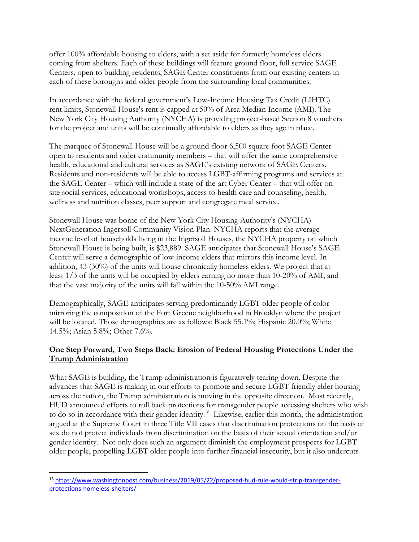offer 100% affordable housing to elders, with a set aside for formerly homeless elders coming from shelters. Each of these buildings will feature ground floor, full service SAGE Centers, open to building residents, SAGE Center constituents from our existing centers in each of these boroughs and older people from the surrounding local communities.

In accordance with the federal government's Low-Income Housing Tax Credit (LIHTC) rent limits, Stonewall House's rent is capped at 50% of Area Median Income (AMI). The New York City Housing Authority (NYCHA) is providing project-based Section 8 vouchers for the project and units will be continually affordable to elders as they age in place.

The marquee of Stonewall House will be a ground-floor 6,500 square foot SAGE Center – open to residents and older community members – that will offer the same comprehensive health, educational and cultural services as SAGE's existing network of SAGE Centers. Residents and non-residents will be able to access LGBT-affirming programs and services at the SAGE Center – which will include a state-of-the-art Cyber Center – that will offer onsite social services, educational workshops, access to health care and counseling, health, wellness and nutrition classes, peer support and congregate meal service.

Stonewall House was borne of the New York City Housing Authority's (NYCHA) NextGeneration Ingersoll Community Vision Plan. NYCHA reports that the average income level of households living in the Ingersoll Houses, the NYCHA property on which Stonewall House is being built, is \$23,889. SAGE anticipates that Stonewall House's SAGE Center will serve a demographic of low-income elders that mirrors this income level. In addition, 43 (30%) of the units will house chronically homeless elders. We project that at least 1/3 of the units will be occupied by elders earning no more than 10-20% of AMI; and that the vast majority of the units will fall within the 10-50% AMI range.

Demographically, SAGE anticipates serving predominantly LGBT older people of color mirroring the composition of the Fort Greene neighborhood in Brooklyn where the project will be located. Those demographics are as follows: Black 55.1%; Hispanic 20.0%; White 14.5%; Asian 5.8%; Other 7.6%.

## **One Step Forward, Two Steps Back: Erosion of Federal Housing Protections Under the Trump Administration**

What SAGE is building, the Trump administration is figuratively tearing down. Despite the advances that SAGE is making in our efforts to promote and secure LGBT friendly elder housing across the nation, the Trump administration is moving in the opposite direction. Most recently, HUD announced efforts to roll back protections for transgender people accessing shelters who wish to do so in accordance with their gender identity.<sup>18</sup> Likewise, earlier this month, the administration argued at the Supreme Court in three Title VII cases that discrimination protections on the basis of sex do not protect individuals from discrimination on the basis of their sexual orientation and/or gender identity. Not only does such an argument diminish the employment prospects for LGBT older people, propelling LGBT older people into further financial insecurity, but it also undercuts

 $\overline{\phantom{a}}$ 

<sup>18</sup> [https://www.washingtonpost.com/business/2019/05/22/proposed-hud-rule-would-strip-transgender](https://www.washingtonpost.com/business/2019/05/22/proposed-hud-rule-would-strip-transgender-protections-homeless-shelters/)[protections-homeless-shelters/](https://www.washingtonpost.com/business/2019/05/22/proposed-hud-rule-would-strip-transgender-protections-homeless-shelters/)